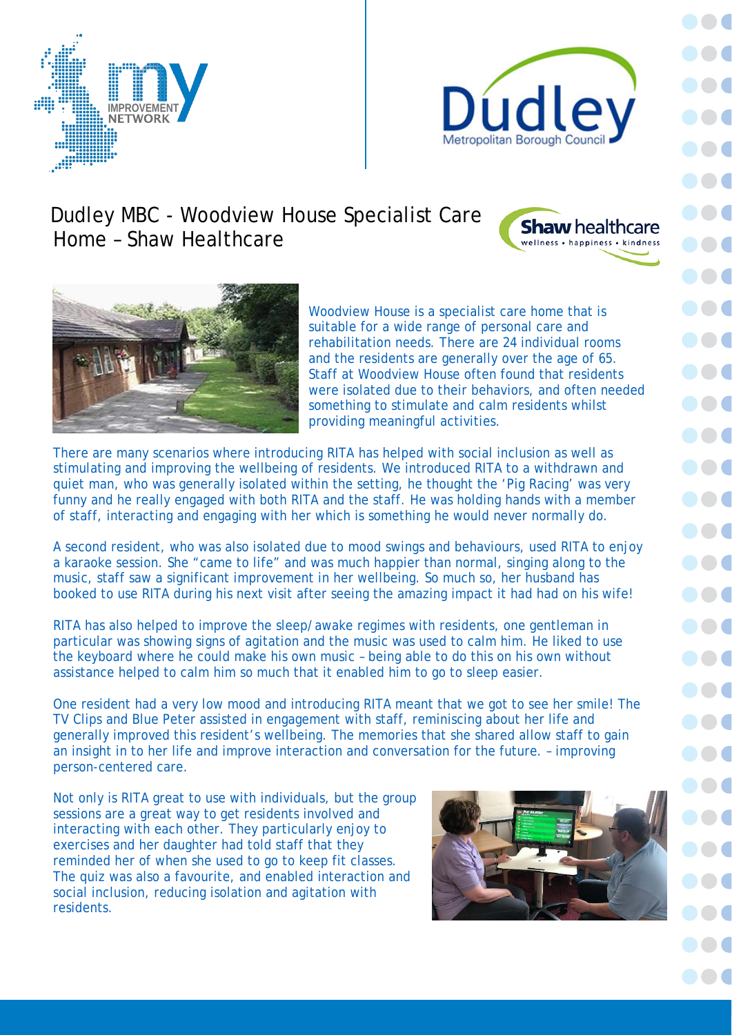



## Dudley MBC - Woodview House Specialist Care Home – Shaw Healthcare





Woodview House is a specialist care home that is suitable for a wide range of personal care and rehabilitation needs. There are 24 individual rooms and the residents are generally over the age of 65. Staff at Woodview House often found that residents were isolated due to their behaviors, and often needed something to stimulate and calm residents whilst providing meaningful activities.

There are many scenarios where introducing RITA has helped with social inclusion as well as stimulating and improving the wellbeing of residents. We introduced RITA to a withdrawn and quiet man, who was generally isolated within the setting, he thought the 'Pig Racing' was very funny and he really engaged with both RITA and the staff. He was holding hands with a member of staff, interacting and engaging with her which is something he would never normally do.

A second resident, who was also isolated due to mood swings and behaviours, used RITA to enjoy a karaoke session. She "came to life" and was much happier than normal, singing along to the music, staff saw a significant improvement in her wellbeing. So much so, her husband has booked to use RITA during his next visit after seeing the amazing impact it had had on his wife!

RITA has also helped to improve the sleep/awake regimes with residents, one gentleman in particular was showing signs of agitation and the music was used to calm him. He liked to use the keyboard where he could make his own music – being able to do this on his own without assistance helped to calm him so much that it enabled him to go to sleep easier.

One resident had a very low mood and introducing RITA meant that we got to see her smile! The TV Clips and Blue Peter assisted in engagement with staff, reminiscing about her life and generally improved this resident's wellbeing. The memories that she shared allow staff to gain an insight in to her life and improve interaction and conversation for the future. – improving person-centered care.

Not only is RITA great to use with individuals, but the group sessions are a great way to get residents involved and interacting with each other. They particularly enjoy to exercises and her daughter had told staff that they reminded her of when she used to go to keep fit classes. The quiz was also a favourite, and enabled interaction and social inclusion, reducing isolation and agitation with residents.